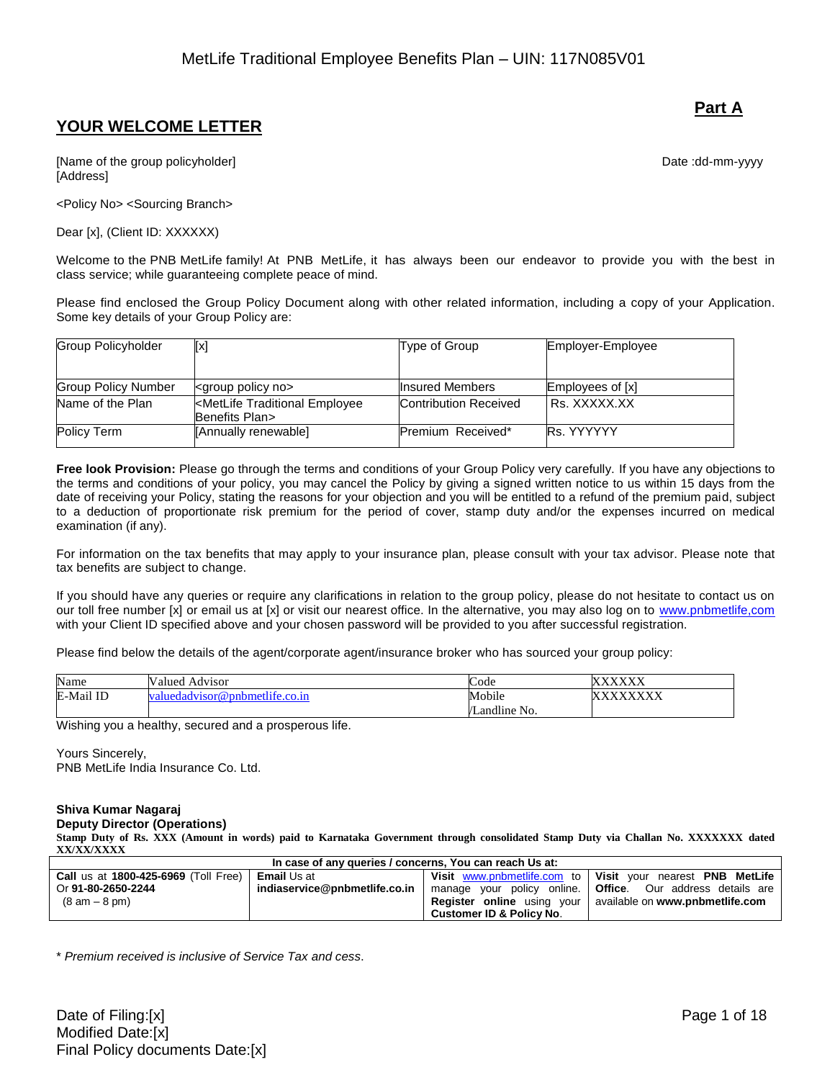# **YOUR WELCOME LETTER**

[Name of the group policyholder] example and the group of the group of the group of the group policyholder] [Address]

<Policy No> <Sourcing Branch>

Dear [x], (Client ID: XXXXXX)

Welcome to the PNB MetLife family! At PNB MetLife, it has always been our endeavor to provide you with the best in class service; while guaranteeing complete peace of mind.

Please find enclosed the Group Policy Document along with other related information, including a copy of your Application. Some key details of your Group Policy are:

| <b>Group Policyholder</b>  | [x]                                                                | Type of Group                | Employer-Employee |
|----------------------------|--------------------------------------------------------------------|------------------------------|-------------------|
|                            |                                                                    |                              |                   |
| <b>Group Policy Number</b> | <group no="" policy=""></group>                                    | <b>Insured Members</b>       | Employees of [x]  |
| Name of the Plan           | <metlife employee<br="" traditional="">Benefits Plan&gt;</metlife> | <b>Contribution Received</b> | I Rs. XXXXX.XX    |
| Policy Term                | [Annually renewable]                                               | Premium Received*            | <b>Rs. YYYYYY</b> |

**Free look Provision:** Please go through the terms and conditions of your Group Policy very carefully. If you have any objections to the terms and conditions of your policy, you may cancel the Policy by giving a signed written notice to us within 15 days from the date of receiving your Policy, stating the reasons for your objection and you will be entitled to a refund of the premium paid, subject to a deduction of proportionate risk premium for the period of cover, stamp duty and/or the expenses incurred on medical examination (if any).

For information on the tax benefits that may apply to your insurance plan, please consult with your tax advisor. Please note that tax benefits are subject to change.

If you should have any queries or require any clarifications in relation to the group policy, please do not hesitate to contact us on our toll free number [x] or email us at [x] or visit our nearest office. In the alternative, you may also log on to [www.pnbmetlife,com](http://www.pnbmetlife,com/) with your Client ID specified above and your chosen password will be provided to you after successful registration.

Please find below the details of the agent/corporate agent/insurance broker who has sourced your group policy:

| Name             | Valued<br>Advisor               | Code                        | <b>737373737</b><br>$\mathbf{X}$<br>∧                            |
|------------------|---------------------------------|-----------------------------|------------------------------------------------------------------|
| ail ID<br>E-Mail | dvisor@pnbmetlife.co.in<br>edad | Mobile                      | <b>VIVIZIVIZIV</b><br>73<br>$\lambda$<br>$\Delta \Delta \Lambda$ |
|                  |                                 | $\cdots$<br>No.<br>Landline |                                                                  |

Wishing you a healthy, secured and a prosperous life.

Yours Sincerely, PNB MetLife India Insurance Co. Ltd.

#### **Shiva Kumar Nagaraj Deputy Director (Operations)**

**Stamp Duty of Rs. XXX (Amount in words) paid to Karnataka Government through consolidated Stamp Duty via Challan No. XXXXXXX dated XX/XX/XXXX**

| In case of any queries / concerns, You can reach Us at:   |                               |                          |                                                                    |
|-----------------------------------------------------------|-------------------------------|--------------------------|--------------------------------------------------------------------|
| <b>Call us at 1800-425-6969 (Toll Free)   Email Us at</b> |                               |                          | Visit www.pnbmetlife.com to   Visit your nearest PNB MetLife       |
| Or 91-80-2650-2244                                        | indiaservice@pnbmetlife.co.in |                          | manage your policy online. <b>Office</b> . Our address details are |
| (8 am – 8 pm)                                             |                               |                          | <b>Register online</b> using your available on www.pnbmetlife.com  |
|                                                           |                               | Customer ID & Policy No. |                                                                    |

\* *Premium received is inclusive of Service Tax and cess*.

## **Part A**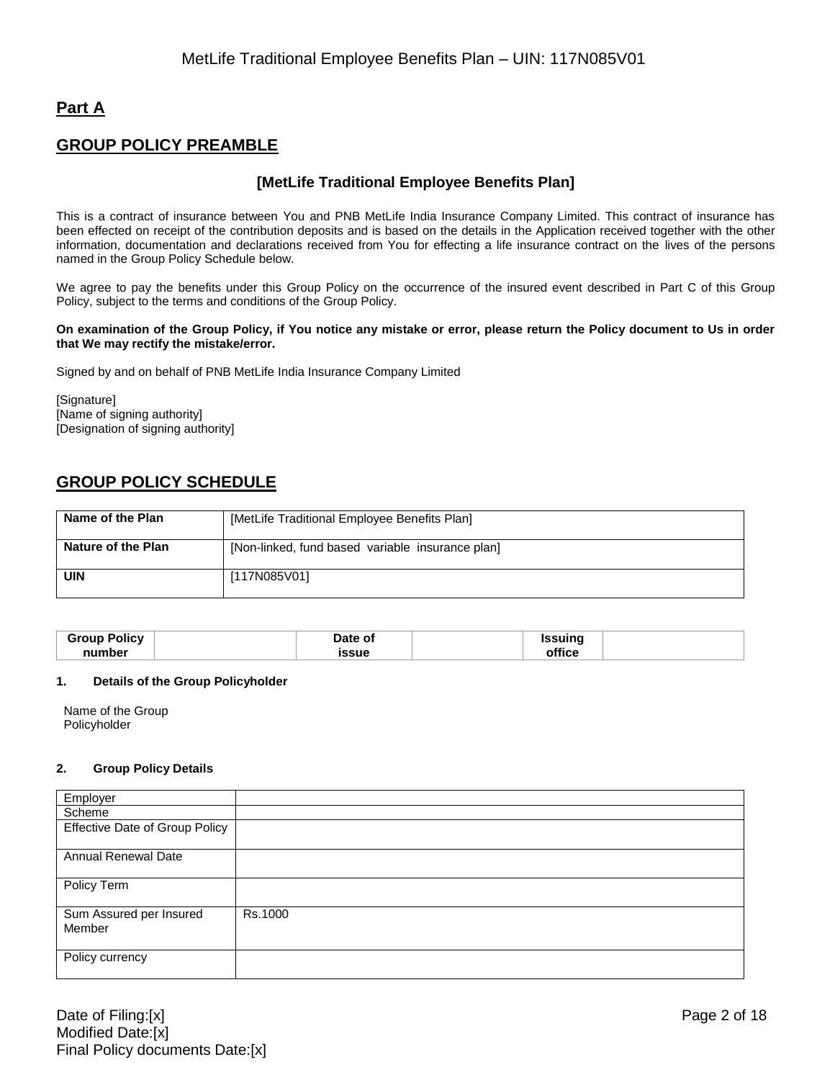# **Part A**

# **GROUP POLICY PREAMBLE**

## **[MetLife Traditional Employee Benefits Plan]**

This is a contract of insurance between You and PNB MetLife India Insurance Company Limited. This contract of insurance has been effected on receipt of the contribution deposits and is based on the details in the Application received together with the other information, documentation and declarations received from You for effecting a life insurance contract on the lives of the persons named in the Group Policy Schedule below.

We agree to pay the benefits under this Group Policy on the occurrence of the insured event described in Part C of this Group Policy, subject to the terms and conditions of the Group Policy.

#### **On examination of the Group Policy, if You notice any mistake or error, please return the Policy document to Us in order that We may rectify the mistake/error.**

Signed by and on behalf of PNB MetLife India Insurance Company Limited

[Signature] [Name of signing authority] [Designation of signing authority]

# **GROUP POLICY SCHEDULE**

| Name of the Plan   | [MetLife Traditional Employee Benefits Plan]     |
|--------------------|--------------------------------------------------|
| Nature of the Plan | [Non-linked, fund based variable insurance plan] |
| <b>UIN</b>         | [117N085V01]                                     |

| Group<br>Policv | Date of | ssuina |  |
|-----------------|---------|--------|--|
| number          | issue   |        |  |

#### **1. Details of the Group Policyholder**

Name of the Group Policyholder

#### **2. Group Policy Details**

| Employer                              |         |
|---------------------------------------|---------|
| Scheme                                |         |
| <b>Effective Date of Group Policy</b> |         |
|                                       |         |
| <b>Annual Renewal Date</b>            |         |
|                                       |         |
| Policy Term                           |         |
|                                       |         |
| Sum Assured per Insured               | Rs.1000 |
| Member                                |         |
|                                       |         |
| Policy currency                       |         |
|                                       |         |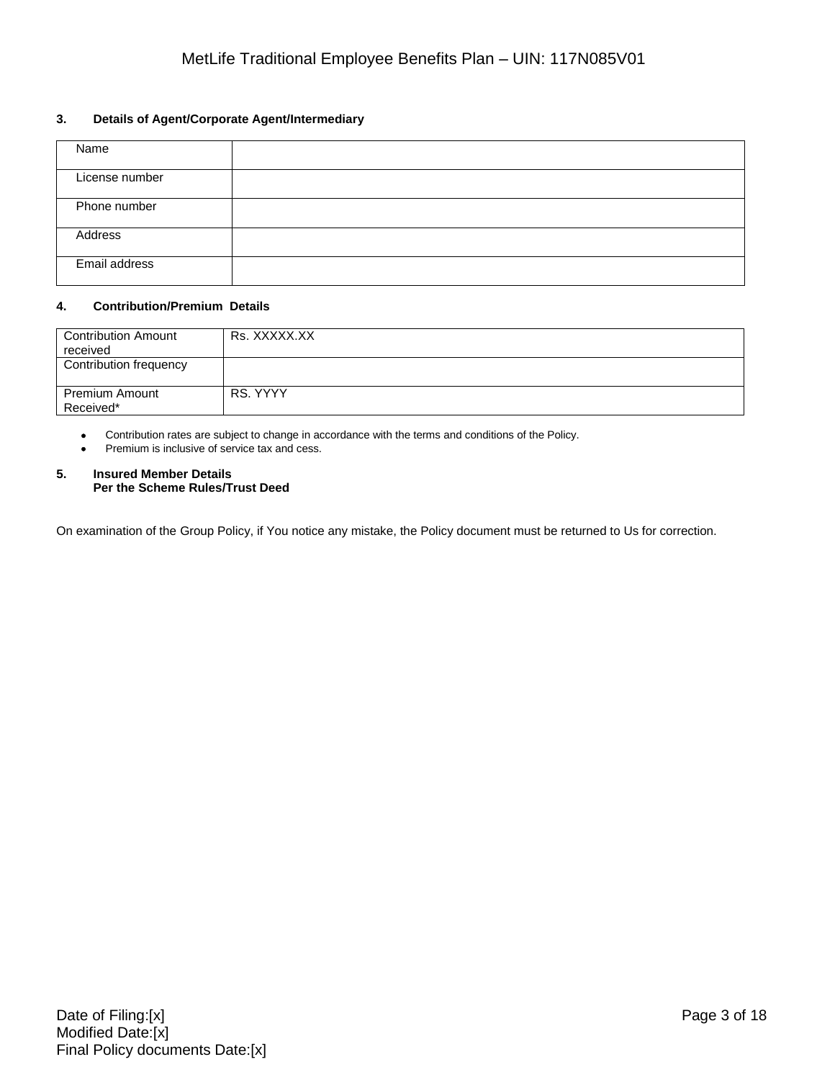## **3. Details of Agent/Corporate Agent/Intermediary**

| Name           |  |
|----------------|--|
| License number |  |
| Phone number   |  |
| Address        |  |
| Email address  |  |

## **4. Contribution/Premium Details**

| <b>Contribution Amount</b><br>received | Rs. XXXXX.XX |
|----------------------------------------|--------------|
| Contribution frequency                 |              |
|                                        |              |
| <b>Premium Amount</b>                  | RS. YYYY     |
| Received*                              |              |

Contribution rates are subject to change in accordance with the terms and conditions of the Policy.

Premium is inclusive of service tax and cess.

#### **5. Insured Member Details Per the Scheme Rules/Trust Deed**

On examination of the Group Policy, if You notice any mistake, the Policy document must be returned to Us for correction.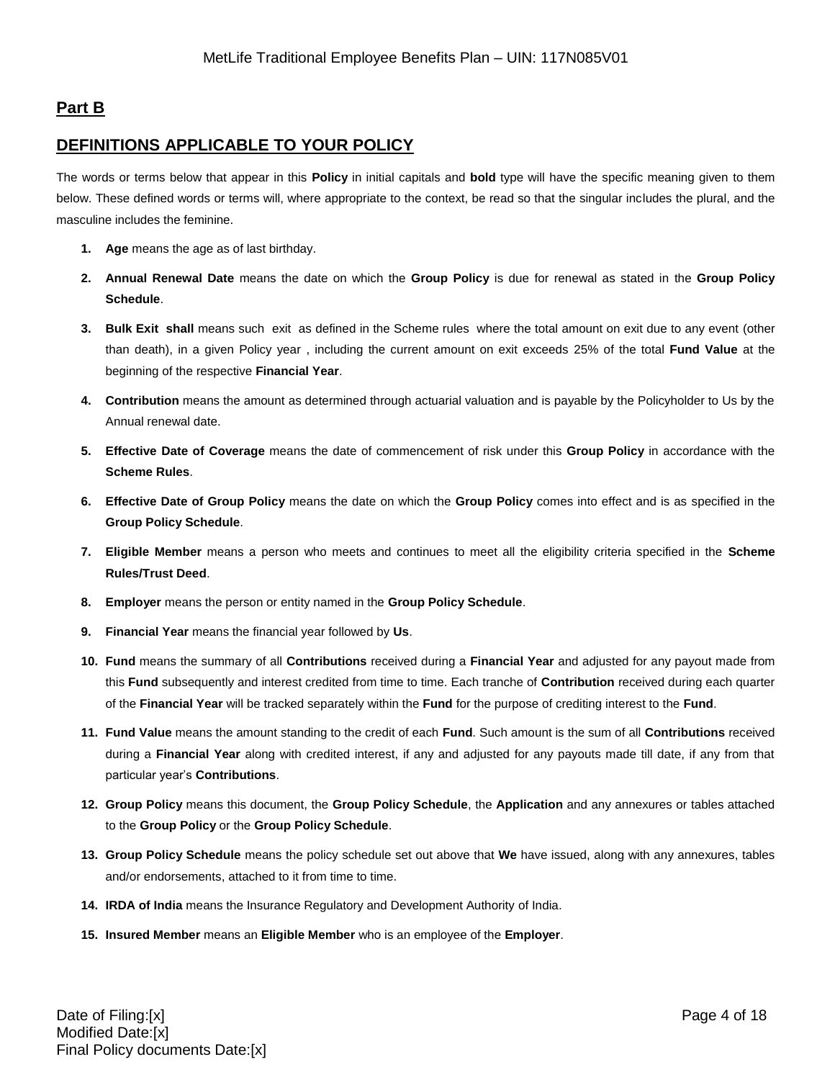# **Part B**

## **DEFINITIONS APPLICABLE TO YOUR POLICY**

The words or terms below that appear in this **Policy** in initial capitals and **bold** type will have the specific meaning given to them below. These defined words or terms will, where appropriate to the context, be read so that the singular includes the plural, and the masculine includes the feminine.

- **1. Age** means the age as of last birthday.
- **2. Annual Renewal Date** means the date on which the **Group Policy** is due for renewal as stated in the **Group Policy Schedule**.
- **3. Bulk Exit shall** means such exit as defined in the Scheme rules where the total amount on exit due to any event (other than death), in a given Policy year , including the current amount on exit exceeds 25% of the total **Fund Value** at the beginning of the respective **Financial Year**.
- **4. Contribution** means the amount as determined through actuarial valuation and is payable by the Policyholder to Us by the Annual renewal date.
- **5. Effective Date of Coverage** means the date of commencement of risk under this **Group Policy** in accordance with the **Scheme Rules**.
- **6. Effective Date of Group Policy** means the date on which the **Group Policy** comes into effect and is as specified in the **Group Policy Schedule**.
- **7. Eligible Member** means a person who meets and continues to meet all the eligibility criteria specified in the **Scheme Rules/Trust Deed**.
- **8. Employer** means the person or entity named in the **Group Policy Schedule**.
- **9. Financial Year** means the financial year followed by **Us**.
- **10. Fund** means the summary of all **Contributions** received during a **Financial Year** and adjusted for any payout made from this **Fund** subsequently and interest credited from time to time. Each tranche of **Contribution** received during each quarter of the **Financial Year** will be tracked separately within the **Fund** for the purpose of crediting interest to the **Fund**.
- **11. Fund Value** means the amount standing to the credit of each **Fund**. Such amount is the sum of all **Contributions** received during a **Financial Year** along with credited interest, if any and adjusted for any payouts made till date, if any from that particular year's **Contributions**.
- **12. Group Policy** means this document, the **Group Policy Schedule**, the **Application** and any annexures or tables attached to the **Group Policy** or the **Group Policy Schedule**.
- **13. Group Policy Schedule** means the policy schedule set out above that **We** have issued, along with any annexures, tables and/or endorsements, attached to it from time to time.
- **14. IRDA of India** means the Insurance Regulatory and Development Authority of India.
- **15. Insured Member** means an **Eligible Member** who is an employee of the **Employer**.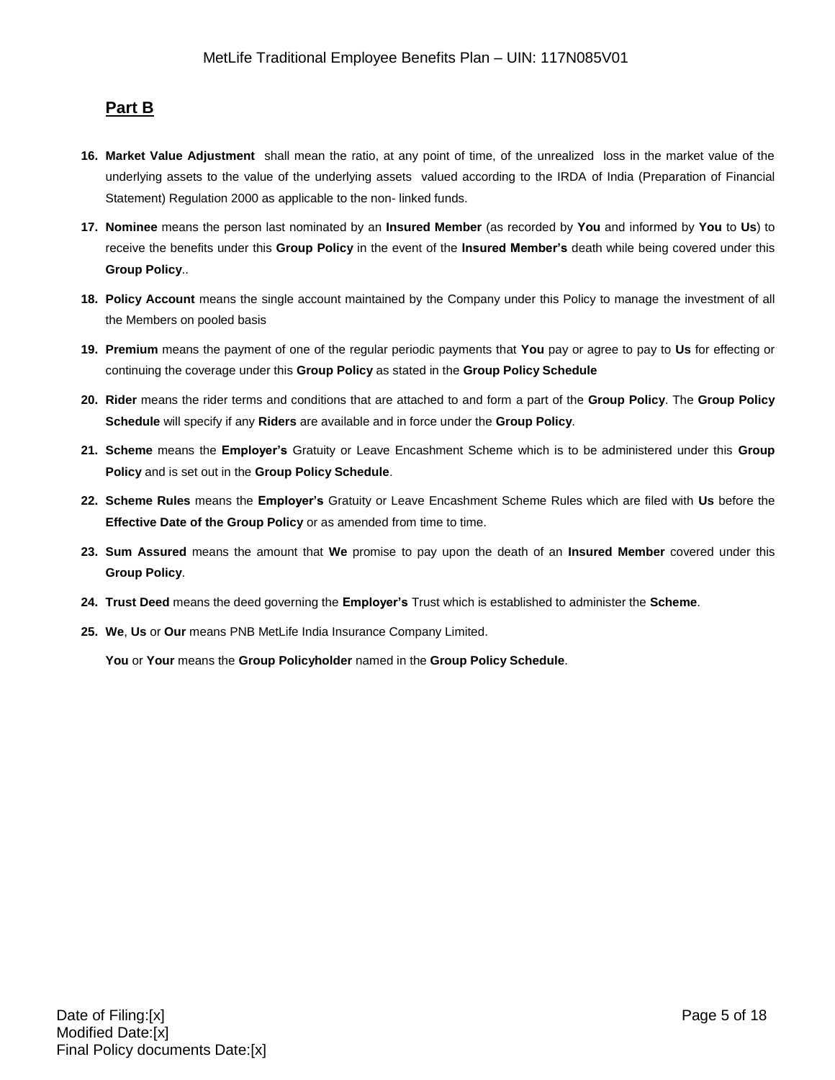## **Part B**

- **16. Market Value Adjustment** shall mean the ratio, at any point of time, of the unrealized loss in the market value of the underlying assets to the value of the underlying assets valued according to the IRDA of India (Preparation of Financial Statement) Regulation 2000 as applicable to the non- linked funds.
- **17. Nominee** means the person last nominated by an **Insured Member** (as recorded by **You** and informed by **You** to **Us**) to receive the benefits under this **Group Policy** in the event of the **Insured Member's** death while being covered under this **Group Policy**..
- **18. Policy Account** means the single account maintained by the Company under this Policy to manage the investment of all the Members on pooled basis
- **19. Premium** means the payment of one of the regular periodic payments that **You** pay or agree to pay to **Us** for effecting or continuing the coverage under this **Group Policy** as stated in the **Group Policy Schedule**
- **20. Rider** means the rider terms and conditions that are attached to and form a part of the **Group Policy**. The **Group Policy Schedule** will specify if any **Riders** are available and in force under the **Group Policy**.
- **21. Scheme** means the **Employer's** Gratuity or Leave Encashment Scheme which is to be administered under this **Group Policy** and is set out in the **Group Policy Schedule**.
- **22. Scheme Rules** means the **Employer's** Gratuity or Leave Encashment Scheme Rules which are filed with **Us** before the **Effective Date of the Group Policy** or as amended from time to time.
- **23. Sum Assured** means the amount that **We** promise to pay upon the death of an **Insured Member** covered under this **Group Policy**.
- **24. Trust Deed** means the deed governing the **Employer's** Trust which is established to administer the **Scheme**.
- **25. We**, **Us** or **Our** means PNB MetLife India Insurance Company Limited.

**You** or **Your** means the **Group Policyholder** named in the **Group Policy Schedule**.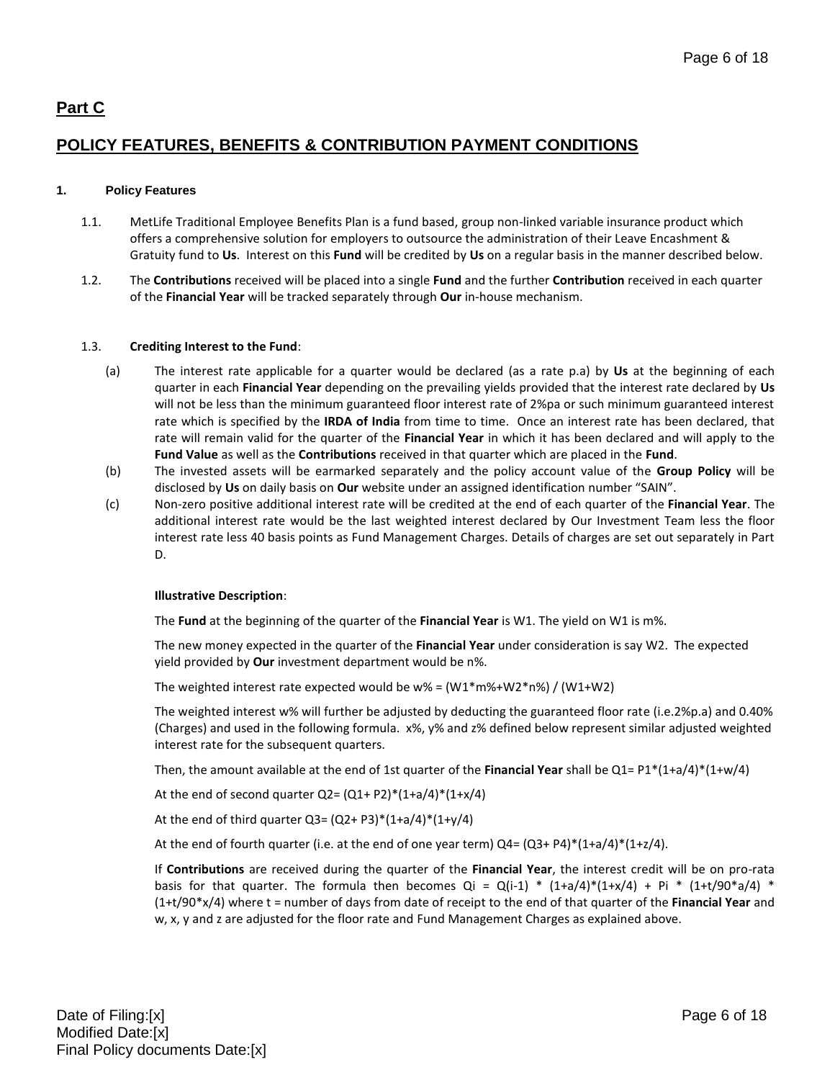# **Part C**

# **POLICY FEATURES, BENEFITS & CONTRIBUTION PAYMENT CONDITIONS**

## **1. Policy Features**

- 1.1. MetLife Traditional Employee Benefits Plan is a fund based, group non-linked variable insurance product which offers a comprehensive solution for employers to outsource the administration of their Leave Encashment & Gratuity fund to **Us**. Interest on this **Fund** will be credited by **Us** on a regular basis in the manner described below.
- 1.2. The **Contributions** received will be placed into a single **Fund** and the further **Contribution** received in each quarter of the **Financial Year** will be tracked separately through **Our** in-house mechanism.

## 1.3. **Crediting Interest to the Fund**:

- (a) The interest rate applicable for a quarter would be declared (as a rate p.a) by **Us** at the beginning of each quarter in each **Financial Year** depending on the prevailing yields provided that the interest rate declared by **Us** will not be less than the minimum guaranteed floor interest rate of 2%pa or such minimum guaranteed interest rate which is specified by the **IRDA of India** from time to time. Once an interest rate has been declared, that rate will remain valid for the quarter of the **Financial Year** in which it has been declared and will apply to the **Fund Value** as well as the **Contributions** received in that quarter which are placed in the **Fund**.
- (b) The invested assets will be earmarked separately and the policy account value of the **Group Policy** will be disclosed by **Us** on daily basis on **Our** website under an assigned identification number "SAIN".
- (c) Non-zero positive additional interest rate will be credited at the end of each quarter of the **Financial Year**. The additional interest rate would be the last weighted interest declared by Our Investment Team less the floor interest rate less 40 basis points as Fund Management Charges. Details of charges are set out separately in Part D.

## **Illustrative Description**:

The **Fund** at the beginning of the quarter of the **Financial Year** is W1. The yield on W1 is m%.

The new money expected in the quarter of the **Financial Year** under consideration is say W2. The expected yield provided by **Our** investment department would be n%.

The weighted interest rate expected would be  $w$ % =  $(W1*mv4+W2*nv6) / (W1+W2)$ 

The weighted interest w% will further be adjusted by deducting the guaranteed floor rate (i.e.2%p.a) and 0.40% (Charges) and used in the following formula. x%, y% and z% defined below represent similar adjusted weighted interest rate for the subsequent quarters.

Then, the amount available at the end of 1st quarter of the **Financial Year** shall be Q1= P1\*(1+a/4)\*(1+w/4)

At the end of second quarter  $Q2 = (Q1 + P2)^*(1+a/4)^*(1+x/4)$ 

At the end of third quarter  $Q3 = (Q2 + P3)*(1+a/4)*(1+y/4)$ 

At the end of fourth quarter (i.e. at the end of one year term)  $Q4 = (Q3 + P4)^*(1+a/4)^*(1+z/4)$ .

If **Contributions** are received during the quarter of the **Financial Year**, the interest credit will be on pro-rata basis for that quarter. The formula then becomes Qi =  $Q(i-1)$  \*  $(1+a/4)*(1+x/4) + Pi$  \*  $(1+t/90*a/4)$  \* (1+t/90\*x/4) where t = number of days from date of receipt to the end of that quarter of the **Financial Year** and w, x, y and z are adjusted for the floor rate and Fund Management Charges as explained above.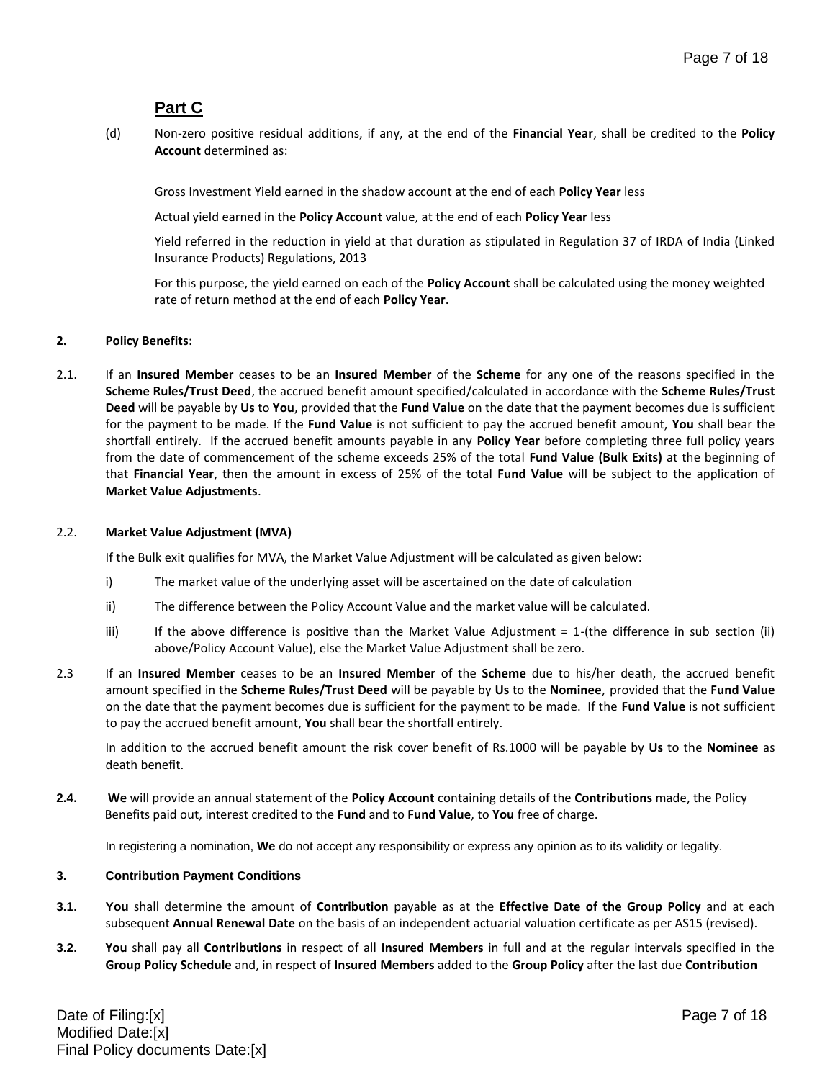## **Part C**

(d) Non-zero positive residual additions, if any, at the end of the **Financial Year**, shall be credited to the **Policy Account** determined as:

Gross Investment Yield earned in the shadow account at the end of each **Policy Year** less

Actual yield earned in the **Policy Account** value, at the end of each **Policy Year** less

Yield referred in the reduction in yield at that duration as stipulated in Regulation 37 of IRDA of India (Linked Insurance Products) Regulations, 2013

For this purpose, the yield earned on each of the **Policy Account** shall be calculated using the money weighted rate of return method at the end of each **Policy Year**.

## **2. Policy Benefits**:

2.1. If an **Insured Member** ceases to be an **Insured Member** of the **Scheme** for any one of the reasons specified in the **Scheme Rules/Trust Deed**, the accrued benefit amount specified/calculated in accordance with the **Scheme Rules/Trust Deed** will be payable by **Us** to **You**, provided that the **Fund Value** on the date that the payment becomes due is sufficient for the payment to be made. If the **Fund Value** is not sufficient to pay the accrued benefit amount, **You** shall bear the shortfall entirely. If the accrued benefit amounts payable in any **Policy Year** before completing three full policy years from the date of commencement of the scheme exceeds 25% of the total **Fund Value (Bulk Exits)** at the beginning of that **Financial Year**, then the amount in excess of 25% of the total **Fund Value** will be subject to the application of **Market Value Adjustments**.

## 2.2. **Market Value Adjustment (MVA)**

If the Bulk exit qualifies for MVA, the Market Value Adjustment will be calculated as given below:

- i) The market value of the underlying asset will be ascertained on the date of calculation
- ii) The difference between the Policy Account Value and the market value will be calculated.
- iii) If the above difference is positive than the Market Value Adjustment  $= 1$ -(the difference in sub section (ii) above/Policy Account Value), else the Market Value Adjustment shall be zero.
- 2.3 If an **Insured Member** ceases to be an **Insured Member** of the **Scheme** due to his/her death, the accrued benefit amount specified in the **Scheme Rules/Trust Deed** will be payable by **Us** to the **Nominee**, provided that the **Fund Value**  on the date that the payment becomes due is sufficient for the payment to be made. If the **Fund Value** is not sufficient to pay the accrued benefit amount, **You** shall bear the shortfall entirely.

In addition to the accrued benefit amount the risk cover benefit of Rs.1000 will be payable by **Us** to the **Nominee** as death benefit.

**2.4. We** will provide an annual statement of the **Policy Account** containing details of the **Contributions** made, the Policy Benefits paid out, interest credited to the **Fund** and to **Fund Value**, to **You** free of charge.

In registering a nomination, **We** do not accept any responsibility or express any opinion as to its validity or legality.

## **3. Contribution Payment Conditions**

- **3.1. You** shall determine the amount of **Contribution** payable as at the **Effective Date of the Group Policy** and at each subsequent **Annual Renewal Date** on the basis of an independent actuarial valuation certificate as per AS15 (revised).
- **3.2. You** shall pay all **Contributions** in respect of all **Insured Members** in full and at the regular intervals specified in the **Group Policy Schedule** and, in respect of **Insured Members** added to the **Group Policy** after the last due **Contribution**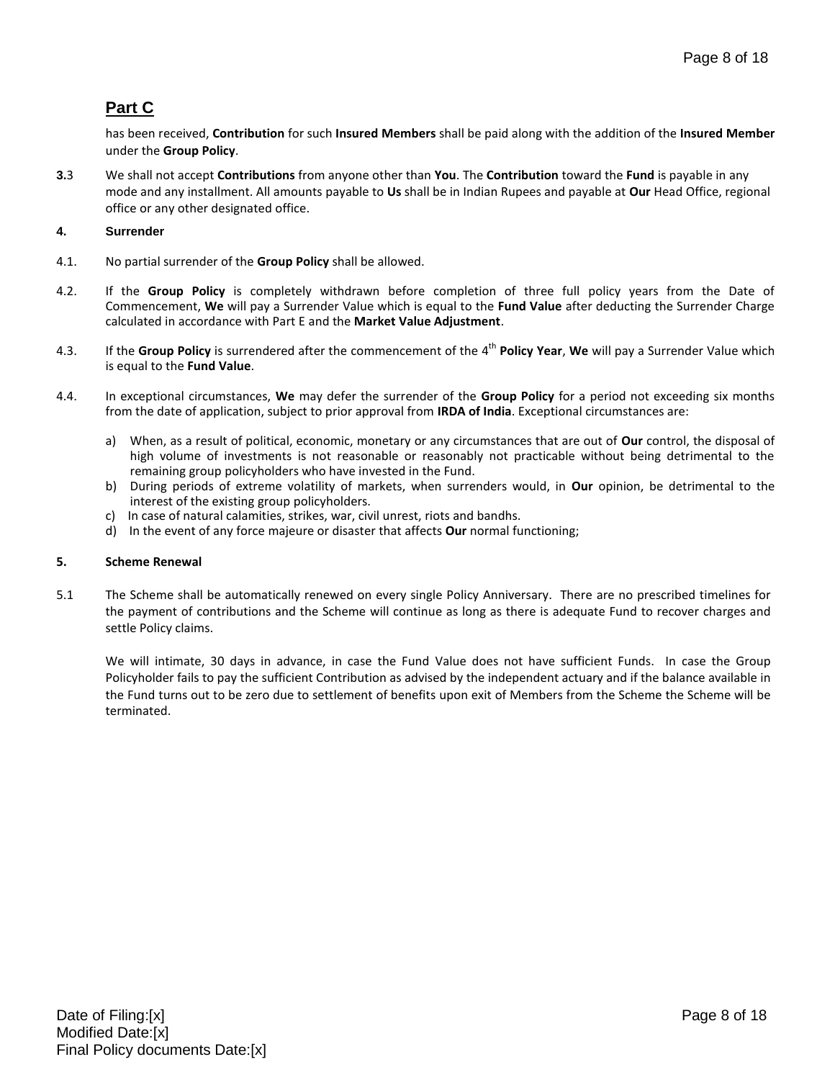# **Part C**

has been received, **Contribution** for such **Insured Members** shall be paid along with the addition of the **Insured Member** under the **Group Policy**.

**3.**3 We shall not accept **Contributions** from anyone other than **You**. The **Contribution** toward the **Fund** is payable in any mode and any installment. All amounts payable to **Us** shall be in Indian Rupees and payable at **Our** Head Office, regional office or any other designated office.

## **4. Surrender**

- 4.1. No partial surrender of the **Group Policy** shall be allowed.
- 4.2. If the **Group Policy** is completely withdrawn before completion of three full policy years from the Date of Commencement, **We** will pay a Surrender Value which is equal to the **Fund Value** after deducting the Surrender Charge calculated in accordance with Part E and the **Market Value Adjustment**.
- 4.3. If the **Group Policy** is surrendered after the commencement of the 4 th **Policy Year**, **We** will pay a Surrender Value which is equal to the **Fund Value**.
- 4.4. In exceptional circumstances, **We** may defer the surrender of the **Group Policy** for a period not exceeding six months from the date of application, subject to prior approval from **IRDA of India**. Exceptional circumstances are:
	- a) When, as a result of political, economic, monetary or any circumstances that are out of **Our** control, the disposal of high volume of investments is not reasonable or reasonably not practicable without being detrimental to the remaining group policyholders who have invested in the Fund.
	- b) During periods of extreme volatility of markets, when surrenders would, in **Our** opinion, be detrimental to the interest of the existing group policyholders.
	- c) In case of natural calamities, strikes, war, civil unrest, riots and bandhs.
	- d) In the event of any force majeure or disaster that affects **Our** normal functioning;

## **5. Scheme Renewal**

5.1 The Scheme shall be automatically renewed on every single Policy Anniversary. There are no prescribed timelines for the payment of contributions and the Scheme will continue as long as there is adequate Fund to recover charges and settle Policy claims.

We will intimate, 30 days in advance, in case the Fund Value does not have sufficient Funds. In case the Group Policyholder fails to pay the sufficient Contribution as advised by the independent actuary and if the balance available in the Fund turns out to be zero due to settlement of benefits upon exit of Members from the Scheme the Scheme will be terminated.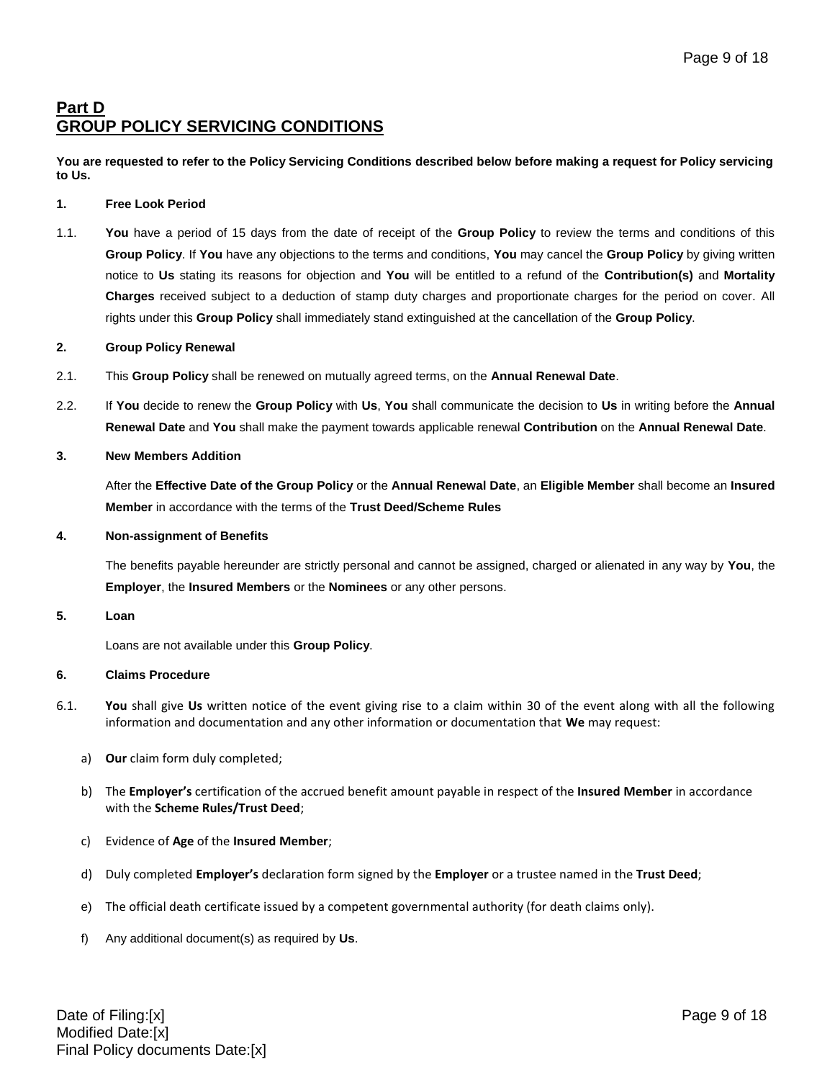# **Part D GROUP POLICY SERVICING CONDITIONS**

**You are requested to refer to the Policy Servicing Conditions described below before making a request for Policy servicing to Us.**

### **1. Free Look Period**

1.1. **You** have a period of 15 days from the date of receipt of the **Group Policy** to review the terms and conditions of this **Group Policy**. If **You** have any objections to the terms and conditions, **You** may cancel the **Group Policy** by giving written notice to **Us** stating its reasons for objection and **You** will be entitled to a refund of the **Contribution(s)** and **Mortality Charges** received subject to a deduction of stamp duty charges and proportionate charges for the period on cover. All rights under this **Group Policy** shall immediately stand extinguished at the cancellation of the **Group Policy**.

#### **2. Group Policy Renewal**

- 2.1. This **Group Policy** shall be renewed on mutually agreed terms, on the **Annual Renewal Date**.
- 2.2. If **You** decide to renew the **Group Policy** with **Us**, **You** shall communicate the decision to **Us** in writing before the **Annual Renewal Date** and **You** shall make the payment towards applicable renewal **Contribution** on the **Annual Renewal Date**.

#### **3. New Members Addition**

After the **Effective Date of the Group Policy** or the **Annual Renewal Date**, an **Eligible Member** shall become an **Insured Member** in accordance with the terms of the **Trust Deed/Scheme Rules**

#### **4. Non-assignment of Benefits**

The benefits payable hereunder are strictly personal and cannot be assigned, charged or alienated in any way by **You**, the **Employer**, the **Insured Members** or the **Nominees** or any other persons.

## **5. Loan**

Loans are not available under this **Group Policy**.

## **6. Claims Procedure**

- 6.1. **You** shall give **Us** written notice of the event giving rise to a claim within 30 of the event along with all the following information and documentation and any other information or documentation that **We** may request:
	- a) **Our** claim form duly completed;
	- b) The **Employer's** certification of the accrued benefit amount payable in respect of the **Insured Member** in accordance with the **Scheme Rules/Trust Deed**;
	- c) Evidence of **Age** of the **Insured Member**;
	- d) Duly completed **Employer's** declaration form signed by the **Employer** or a trustee named in the **Trust Deed**;
	- e) The official death certificate issued by a competent governmental authority (for death claims only).
	- f) Any additional document(s) as required by **Us**.

Date of Filing:[x] Page 9 of 18 Modified Date:[x] Final Policy documents Date:[x]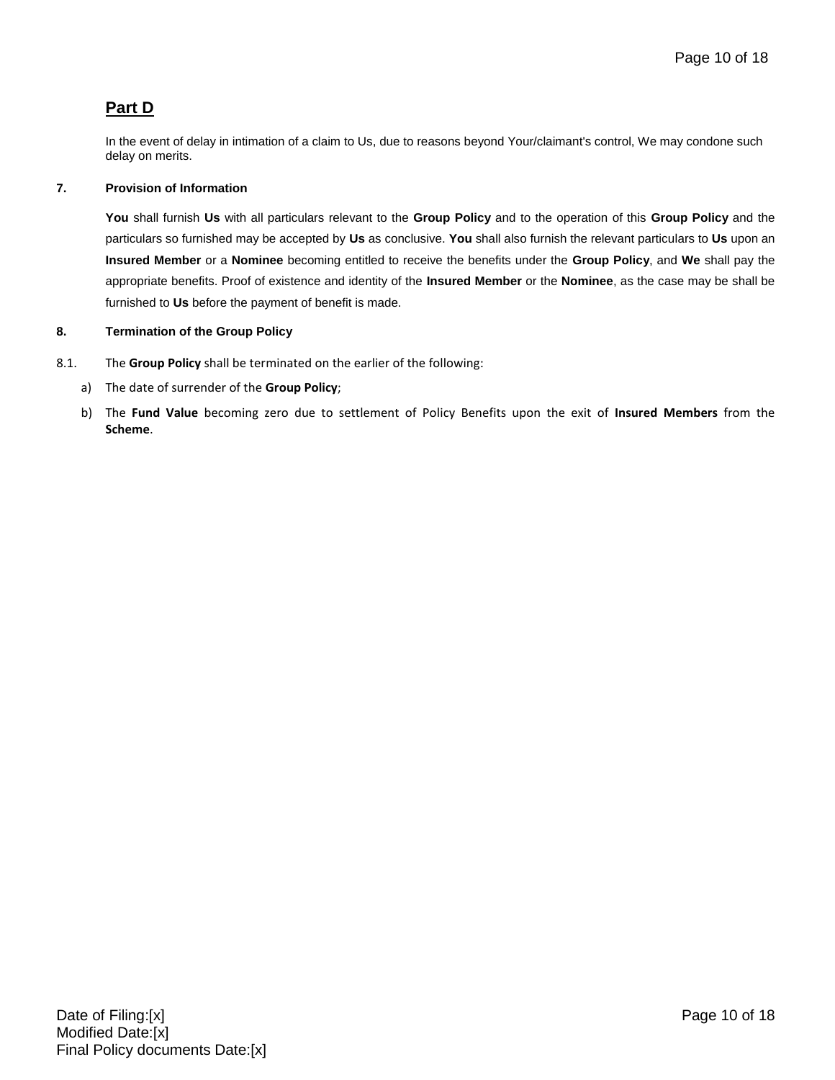# **Part D**

In the event of delay in intimation of a claim to Us, due to reasons beyond Your/claimant's control, We may condone such delay on merits.

## **7. Provision of Information**

**You** shall furnish **Us** with all particulars relevant to the **Group Policy** and to the operation of this **Group Policy** and the particulars so furnished may be accepted by **Us** as conclusive. **You** shall also furnish the relevant particulars to **Us** upon an **Insured Member** or a **Nominee** becoming entitled to receive the benefits under the **Group Policy**, and **We** shall pay the appropriate benefits. Proof of existence and identity of the **Insured Member** or the **Nominee**, as the case may be shall be furnished to **Us** before the payment of benefit is made.

## **8. Termination of the Group Policy**

- 8.1. The **Group Policy** shall be terminated on the earlier of the following:
	- a) The date of surrender of the **Group Policy**;
	- b) The **Fund Value** becoming zero due to settlement of Policy Benefits upon the exit of **Insured Members** from the **Scheme**.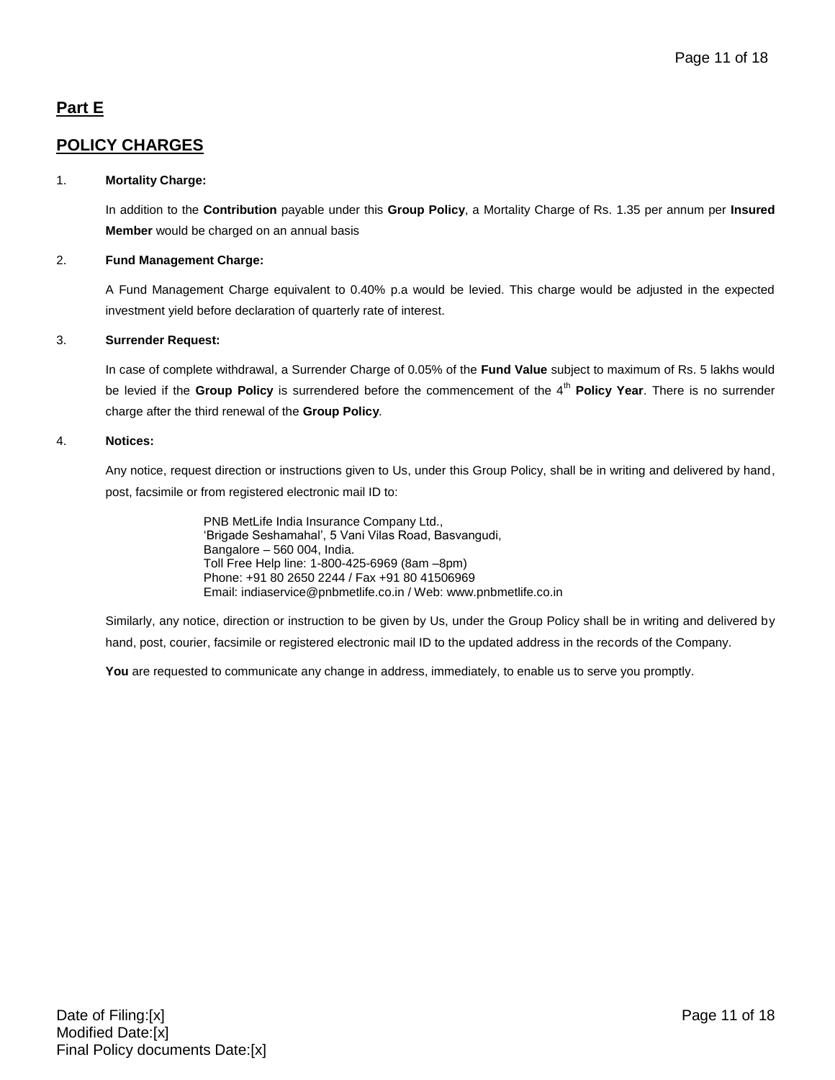# **Part E**

## **POLICY CHARGES**

## 1. **Mortality Charge:**

In addition to the **Contribution** payable under this **Group Policy**, a Mortality Charge of Rs. 1.35 per annum per **Insured Member** would be charged on an annual basis

## 2. **Fund Management Charge:**

A Fund Management Charge equivalent to 0.40% p.a would be levied. This charge would be adjusted in the expected investment yield before declaration of quarterly rate of interest.

## 3. **Surrender Request:**

In case of complete withdrawal, a Surrender Charge of 0.05% of the **Fund Value** subject to maximum of Rs. 5 lakhs would be levied if the Group Policy is surrendered before the commencement of the 4<sup>th</sup> Policy Year. There is no surrender charge after the third renewal of the **Group Policy**.

## 4. **Notices:**

Any notice, request direction or instructions given to Us, under this Group Policy, shall be in writing and delivered by hand, post, facsimile or from registered electronic mail ID to:

> PNB MetLife India Insurance Company Ltd., 'Brigade Seshamahal', 5 Vani Vilas Road, Basvangudi, Bangalore – 560 004, India. Toll Free Help line: 1-800-425-6969 (8am –8pm) Phone: +91 80 2650 2244 / Fax +91 80 41506969 Email: indiaservice@pnbmetlife.co.in / Web[: www.pnbmetlife.co.in](http://www.pnbmetlife.co.in/)

Similarly, any notice, direction or instruction to be given by Us, under the Group Policy shall be in writing and delivered by hand, post, courier, facsimile or registered electronic mail ID to the updated address in the records of the Company.

**You** are requested to communicate any change in address, immediately, to enable us to serve you promptly.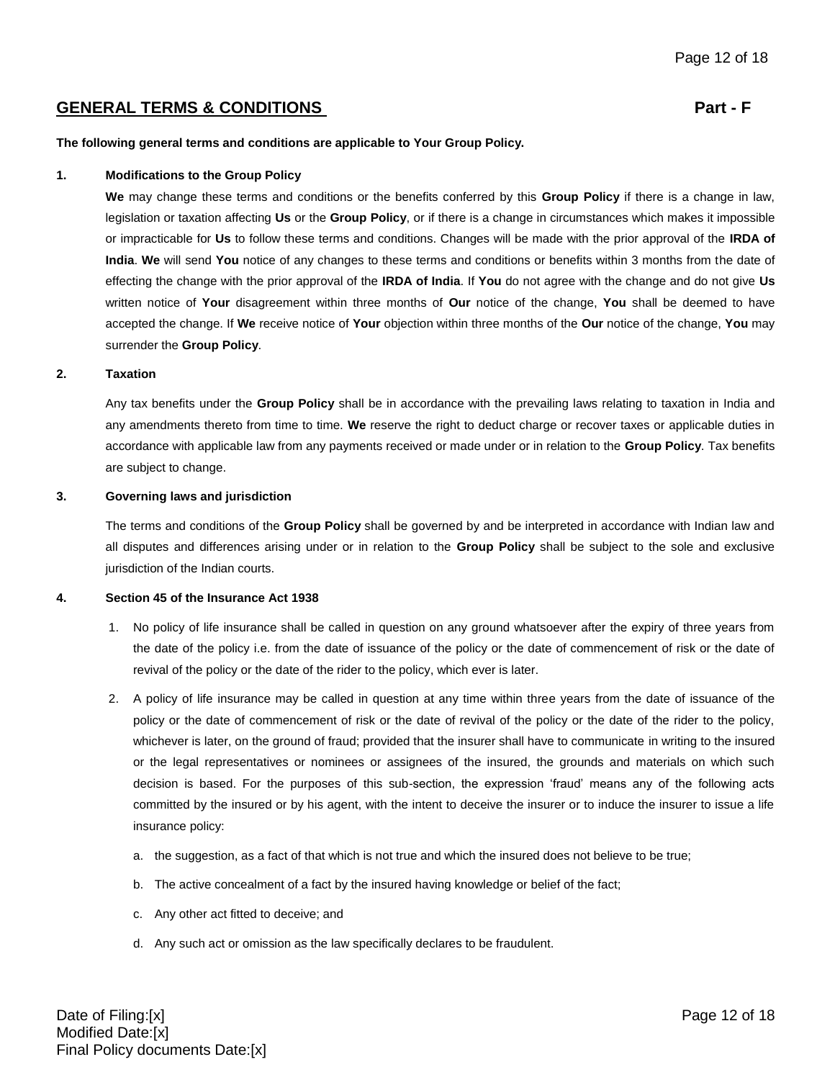## GENERAL TERMS & CONDITIONS **Part - F**

**The following general terms and conditions are applicable to Your Group Policy.**

#### **1. Modifications to the Group Policy**

**We** may change these terms and conditions or the benefits conferred by this **Group Policy** if there is a change in law, legislation or taxation affecting **Us** or the **Group Policy**, or if there is a change in circumstances which makes it impossible or impracticable for **Us** to follow these terms and conditions. Changes will be made with the prior approval of the **IRDA of India**. **We** will send **You** notice of any changes to these terms and conditions or benefits within 3 months from the date of effecting the change with the prior approval of the **IRDA of India**. If **You** do not agree with the change and do not give **Us** written notice of **Your** disagreement within three months of **Our** notice of the change, **You** shall be deemed to have accepted the change. If **We** receive notice of **Your** objection within three months of the **Our** notice of the change, **You** may surrender the **Group Policy**.

#### **2. Taxation**

Any tax benefits under the **Group Policy** shall be in accordance with the prevailing laws relating to taxation in India and any amendments thereto from time to time. **We** reserve the right to deduct charge or recover taxes or applicable duties in accordance with applicable law from any payments received or made under or in relation to the **Group Policy**. Tax benefits are subject to change.

#### **3. Governing laws and jurisdiction**

The terms and conditions of the **Group Policy** shall be governed by and be interpreted in accordance with Indian law and all disputes and differences arising under or in relation to the **Group Policy** shall be subject to the sole and exclusive jurisdiction of the Indian courts.

#### **4. Section 45 of the Insurance Act 1938**

- 1. No policy of life insurance shall be called in question on any ground whatsoever after the expiry of three years from the date of the policy i.e. from the date of issuance of the policy or the date of commencement of risk or the date of revival of the policy or the date of the rider to the policy, which ever is later.
- 2. A policy of life insurance may be called in question at any time within three years from the date of issuance of the policy or the date of commencement of risk or the date of revival of the policy or the date of the rider to the policy, whichever is later, on the ground of fraud; provided that the insurer shall have to communicate in writing to the insured or the legal representatives or nominees or assignees of the insured, the grounds and materials on which such decision is based. For the purposes of this sub-section, the expression 'fraud' means any of the following acts committed by the insured or by his agent, with the intent to deceive the insurer or to induce the insurer to issue a life insurance policy:
	- a. the suggestion, as a fact of that which is not true and which the insured does not believe to be true;
	- b. The active concealment of a fact by the insured having knowledge or belief of the fact;
	- c. Any other act fitted to deceive; and
	- d. Any such act or omission as the law specifically declares to be fraudulent.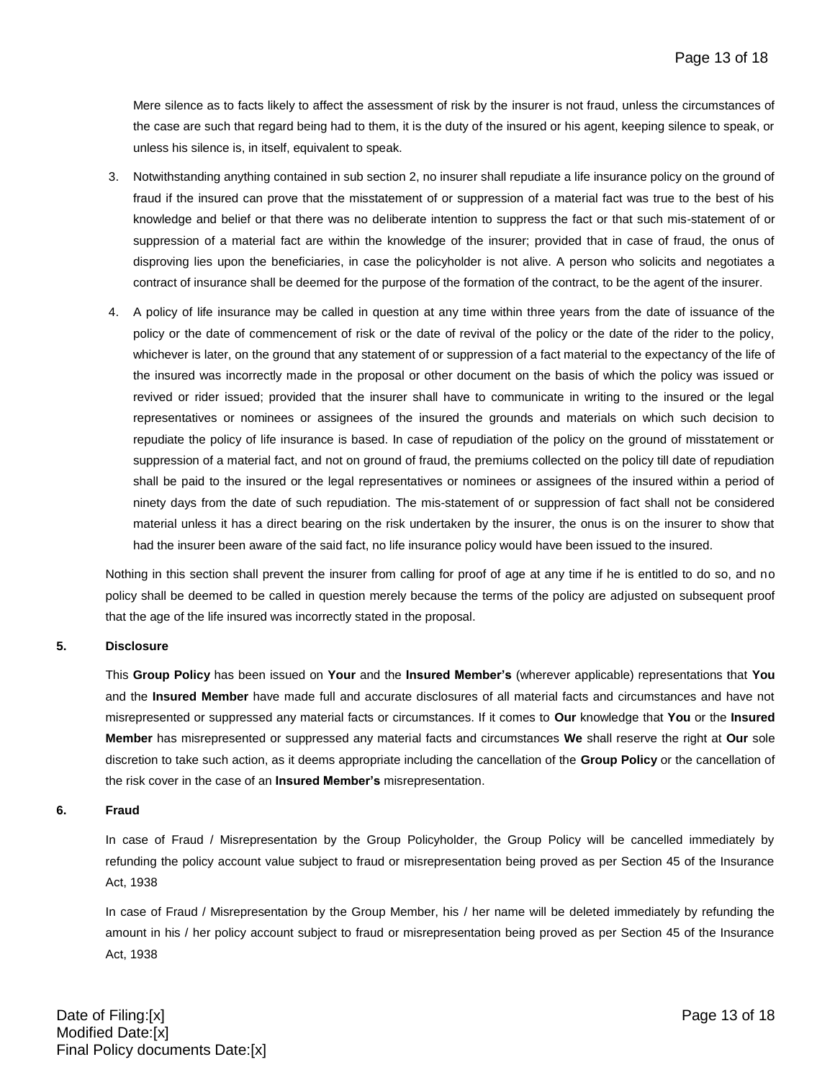Mere silence as to facts likely to affect the assessment of risk by the insurer is not fraud, unless the circumstances of the case are such that regard being had to them, it is the duty of the insured or his agent, keeping silence to speak, or unless his silence is, in itself, equivalent to speak.

- 3. Notwithstanding anything contained in sub section 2, no insurer shall repudiate a life insurance policy on the ground of fraud if the insured can prove that the misstatement of or suppression of a material fact was true to the best of his knowledge and belief or that there was no deliberate intention to suppress the fact or that such mis-statement of or suppression of a material fact are within the knowledge of the insurer; provided that in case of fraud, the onus of disproving lies upon the beneficiaries, in case the policyholder is not alive. A person who solicits and negotiates a contract of insurance shall be deemed for the purpose of the formation of the contract, to be the agent of the insurer.
- 4. A policy of life insurance may be called in question at any time within three years from the date of issuance of the policy or the date of commencement of risk or the date of revival of the policy or the date of the rider to the policy, whichever is later, on the ground that any statement of or suppression of a fact material to the expectancy of the life of the insured was incorrectly made in the proposal or other document on the basis of which the policy was issued or revived or rider issued; provided that the insurer shall have to communicate in writing to the insured or the legal representatives or nominees or assignees of the insured the grounds and materials on which such decision to repudiate the policy of life insurance is based. In case of repudiation of the policy on the ground of misstatement or suppression of a material fact, and not on ground of fraud, the premiums collected on the policy till date of repudiation shall be paid to the insured or the legal representatives or nominees or assignees of the insured within a period of ninety days from the date of such repudiation. The mis-statement of or suppression of fact shall not be considered material unless it has a direct bearing on the risk undertaken by the insurer, the onus is on the insurer to show that had the insurer been aware of the said fact, no life insurance policy would have been issued to the insured.

Nothing in this section shall prevent the insurer from calling for proof of age at any time if he is entitled to do so, and no policy shall be deemed to be called in question merely because the terms of the policy are adjusted on subsequent proof that the age of the life insured was incorrectly stated in the proposal.

#### **5. Disclosure**

This **Group Policy** has been issued on **Your** and the **Insured Member's** (wherever applicable) representations that **You** and the **Insured Member** have made full and accurate disclosures of all material facts and circumstances and have not misrepresented or suppressed any material facts or circumstances. If it comes to **Our** knowledge that **You** or the **Insured Member** has misrepresented or suppressed any material facts and circumstances **We** shall reserve the right at **Our** sole discretion to take such action, as it deems appropriate including the cancellation of the **Group Policy** or the cancellation of the risk cover in the case of an **Insured Member's** misrepresentation.

#### **6. Fraud**

In case of Fraud / Misrepresentation by the Group Policyholder, the Group Policy will be cancelled immediately by refunding the policy account value subject to fraud or misrepresentation being proved as per Section 45 of the Insurance Act, 1938

In case of Fraud / Misrepresentation by the Group Member, his / her name will be deleted immediately by refunding the amount in his / her policy account subject to fraud or misrepresentation being proved as per Section 45 of the Insurance Act, 1938

Date of Filing:[x] Page 13 of 18 Modified Date:[x] Final Policy documents Date:[x]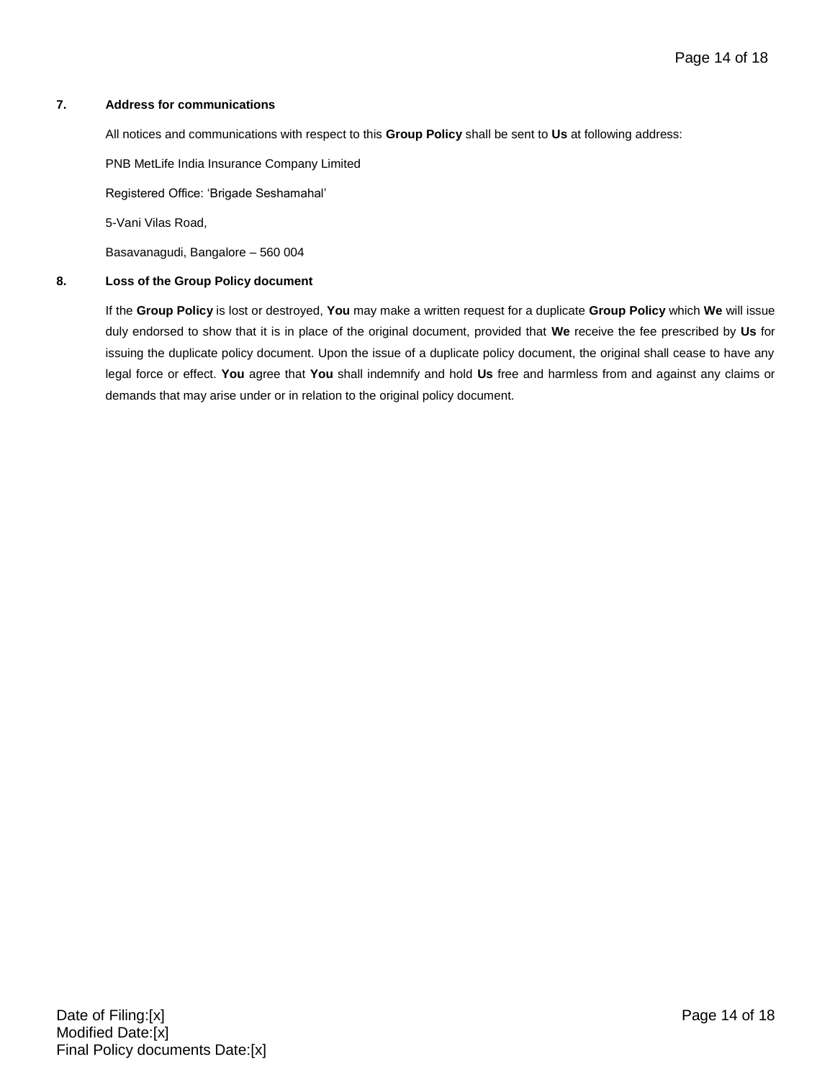#### **7. Address for communications**

All notices and communications with respect to this **Group Policy** shall be sent to **Us** at following address:

PNB MetLife India Insurance Company Limited

Registered Office: 'Brigade Seshamahal'

5-Vani Vilas Road,

Basavanagudi, Bangalore – 560 004

#### **8. Loss of the Group Policy document**

If the **Group Policy** is lost or destroyed, **You** may make a written request for a duplicate **Group Policy** which **We** will issue duly endorsed to show that it is in place of the original document, provided that **We** receive the fee prescribed by **Us** for issuing the duplicate policy document. Upon the issue of a duplicate policy document, the original shall cease to have any legal force or effect. **You** agree that **You** shall indemnify and hold **Us** free and harmless from and against any claims or demands that may arise under or in relation to the original policy document.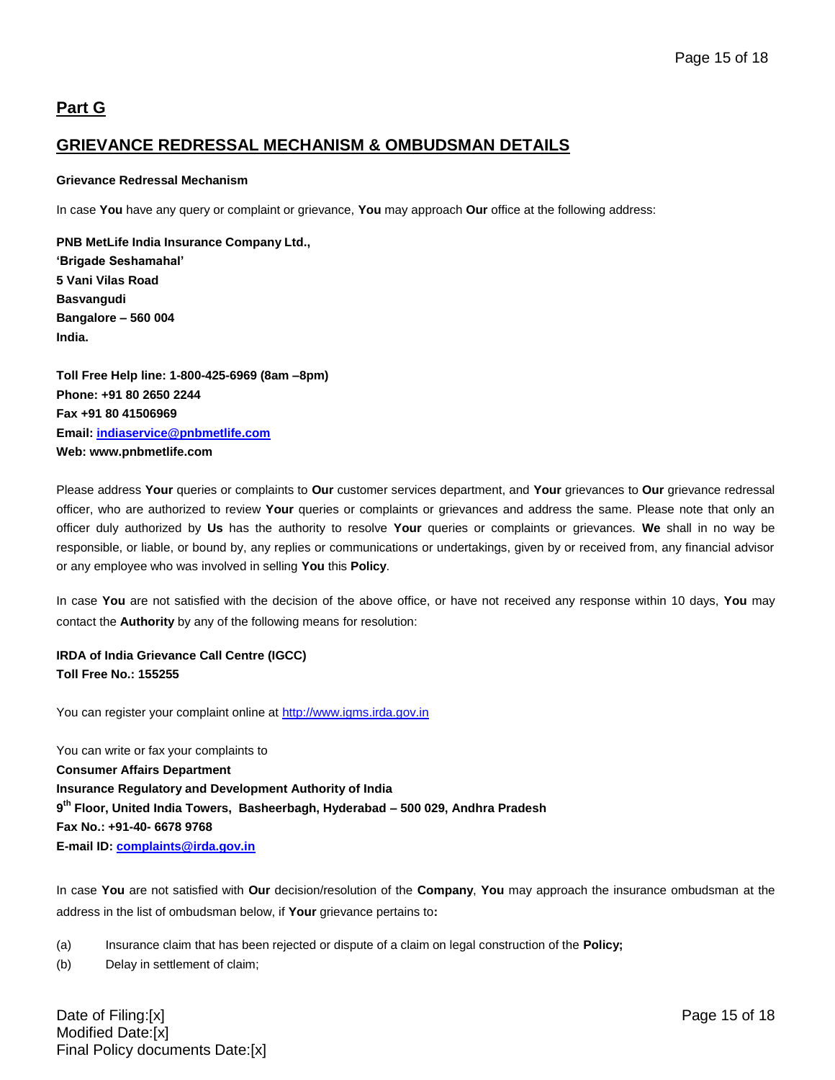# **Part G**

## **GRIEVANCE REDRESSAL MECHANISM & OMBUDSMAN DETAILS**

### **Grievance Redressal Mechanism**

In case **You** have any query or complaint or grievance, **You** may approach **Our** office at the following address:

**PNB MetLife India Insurance Company Ltd., 'Brigade Seshamahal' 5 Vani Vilas Road Basvangudi Bangalore – 560 004 India.** 

**Toll Free Help line: 1-800-425-6969 (8am –8pm) Phone: +91 80 2650 2244 Fax +91 80 41506969 Email: [indiaservice@pnbmetlife.com](mailto:indiaservice@pnbmetlife.com) Web: www.pnbmetlife.com** 

Please address **Your** queries or complaints to **Our** customer services department, and **Your** grievances to **Our** grievance redressal officer, who are authorized to review **Your** queries or complaints or grievances and address the same. Please note that only an officer duly authorized by **Us** has the authority to resolve **Your** queries or complaints or grievances. **We** shall in no way be responsible, or liable, or bound by, any replies or communications or undertakings, given by or received from, any financial advisor or any employee who was involved in selling **You** this **Policy**.

In case **You** are not satisfied with the decision of the above office, or have not received any response within 10 days, **You** may contact the **Authority** by any of the following means for resolution:

**IRDA of India Grievance Call Centre (IGCC) Toll Free No.: 155255**

You can register your complaint online at [http://www.igms.irda.gov.in](http://www.igms.irda.gov.in/)

You can write or fax your complaints to **Consumer Affairs Department Insurance Regulatory and Development Authority of India 9 th Floor, United India Towers, Basheerbagh, Hyderabad – 500 029, Andhra Pradesh Fax No.: +91-40- 6678 9768 E-mail ID[: complaints@irda.gov.in](mailto:complaints@irda.gov.in)**

In case **You** are not satisfied with **Our** decision/resolution of the **Company**, **You** may approach the insurance ombudsman at the address in the list of ombudsman below, if **Your** grievance pertains to**:**

(a) Insurance claim that has been rejected or dispute of a claim on legal construction of the **Policy;**

(b) Delay in settlement of claim;

Date of Filing:[x] Page 15 of 18 Modified Date:[x] Final Policy documents Date:[x]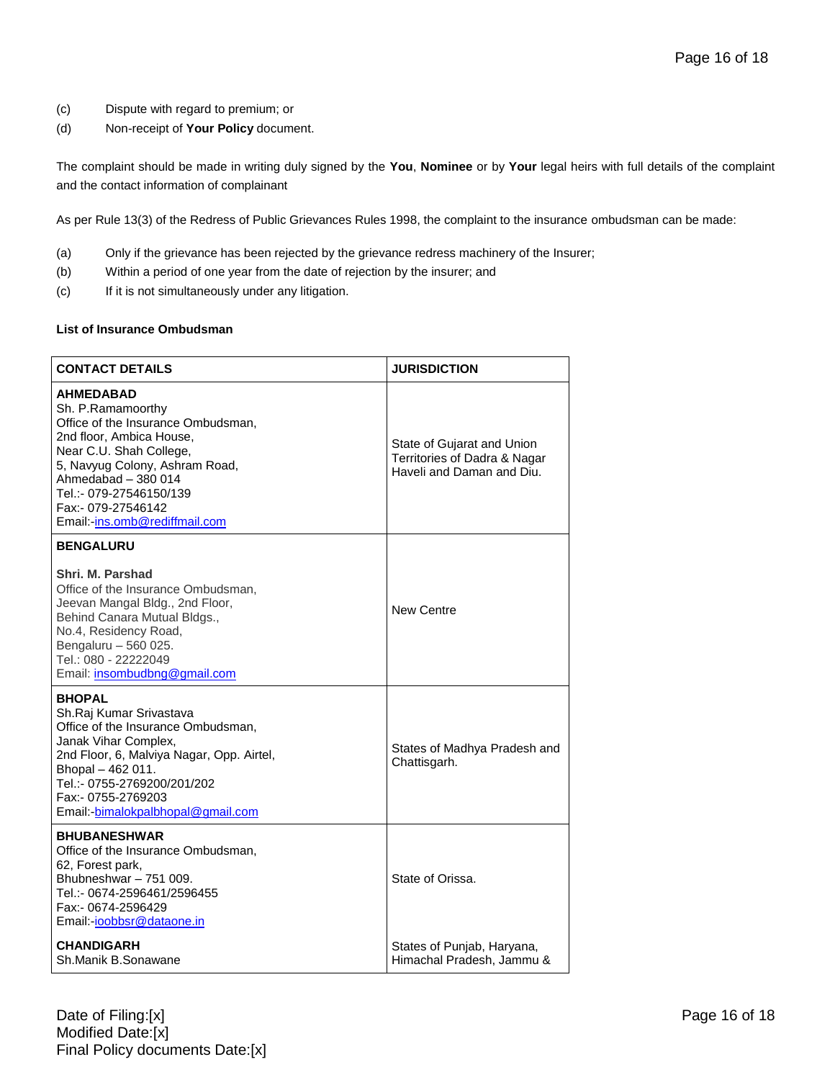- (c) Dispute with regard to premium; or
- (d) Non-receipt of **Your Policy** document.

The complaint should be made in writing duly signed by the **You**, **Nominee** or by **Your** legal heirs with full details of the complaint and the contact information of complainant

As per Rule 13(3) of the Redress of Public Grievances Rules 1998, the complaint to the insurance ombudsman can be made:

- (a) Only if the grievance has been rejected by the grievance redress machinery of the Insurer;
- (b) Within a period of one year from the date of rejection by the insurer; and
- (c) If it is not simultaneously under any litigation.

#### **List of Insurance Ombudsman**

| <b>CONTACT DETAILS</b>                                                                                                                                                                                                                                                        | <b>JURISDICTION</b>                                                                     |
|-------------------------------------------------------------------------------------------------------------------------------------------------------------------------------------------------------------------------------------------------------------------------------|-----------------------------------------------------------------------------------------|
| <b>AHMEDABAD</b><br>Sh. P.Ramamoorthy<br>Office of the Insurance Ombudsman,<br>2nd floor, Ambica House,<br>Near C.U. Shah College,<br>5, Navyug Colony, Ashram Road,<br>Ahmedabad - 380 014<br>Tel.:- 079-27546150/139<br>Fax:- 079-27546142<br>Email: ins.omb@rediffmail.com | State of Gujarat and Union<br>Territories of Dadra & Nagar<br>Haveli and Daman and Diu. |
| <b>BENGALURU</b>                                                                                                                                                                                                                                                              |                                                                                         |
| Shri. M. Parshad<br>Office of the Insurance Ombudsman.<br>Jeevan Mangal Bldg., 2nd Floor,<br>Behind Canara Mutual Bldgs.,<br>No.4, Residency Road,<br>Bengaluru - 560 025.<br>Tel.: 080 - 22222049<br>Email: insombudbng@gmail.com                                            | New Centre                                                                              |
| <b>BHOPAL</b><br>Sh.Raj Kumar Srivastava<br>Office of the Insurance Ombudsman,<br>Janak Vihar Complex,<br>2nd Floor, 6, Malviya Nagar, Opp. Airtel,<br>Bhopal - 462 011.<br>Tel.:- 0755-2769200/201/202<br>Fax:- 0755-2769203<br>Email:-bimalokpalbhopal@gmail.com            | States of Madhya Pradesh and<br>Chattisgarh.                                            |
| <b>BHUBANESHWAR</b><br>Office of the Insurance Ombudsman,<br>62, Forest park,<br>Bhubneshwar - 751 009.<br>Tel.:- 0674-2596461/2596455<br>Fax:- 0674-2596429<br>Email:-ioobbsr@dataone.in                                                                                     | State of Orissa.                                                                        |
| <b>CHANDIGARH</b><br>Sh.Manik B.Sonawane                                                                                                                                                                                                                                      | States of Punjab, Haryana,<br>Himachal Pradesh, Jammu &                                 |

Date of Filing:[x] Page 16 of 18 Modified Date:[x] Final Policy documents Date:[x]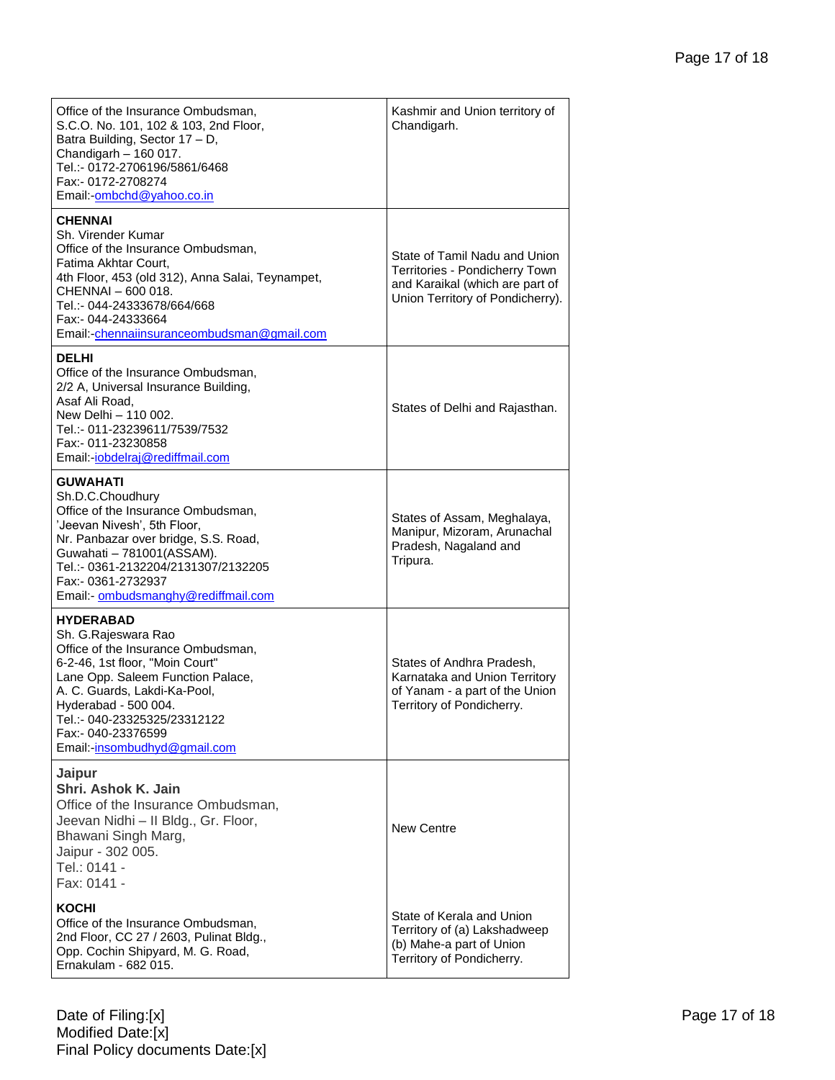| Office of the Insurance Ombudsman,<br>S.C.O. No. 101, 102 & 103, 2nd Floor,<br>Batra Building, Sector 17 - D,<br>Chandigarh - 160 017.<br>Tel.:- 0172-2706196/5861/6468<br>Fax:- 0172-2708274<br>Email:-ombchd@yahoo.co.in                                                                          | Kashmir and Union territory of<br>Chandigarh.                                                                                          |
|-----------------------------------------------------------------------------------------------------------------------------------------------------------------------------------------------------------------------------------------------------------------------------------------------------|----------------------------------------------------------------------------------------------------------------------------------------|
| <b>CHENNAI</b><br>Sh. Virender Kumar<br>Office of the Insurance Ombudsman,<br>Fatima Akhtar Court.<br>4th Floor, 453 (old 312), Anna Salai, Teynampet,<br>CHENNAI - 600 018.<br>Tel.:- 044-24333678/664/668<br>Fax:- 044-24333664<br>Email:-chennaiinsuranceombudsman@gmail.com                     | State of Tamil Nadu and Union<br>Territories - Pondicherry Town<br>and Karaikal (which are part of<br>Union Territory of Pondicherry). |
| <b>DELHI</b><br>Office of the Insurance Ombudsman,<br>2/2 A, Universal Insurance Building,<br>Asaf Ali Road,<br>New Delhi - 110 002.<br>Tel.:- 011-23239611/7539/7532<br>Fax:- 011-23230858<br>Email:-jobdelraj@rediffmail.com                                                                      | States of Delhi and Rajasthan.                                                                                                         |
| <b>GUWAHATI</b><br>Sh.D.C.Choudhury<br>Office of the Insurance Ombudsman,<br>'Jeevan Nivesh', 5th Floor,<br>Nr. Panbazar over bridge, S.S. Road,<br>Guwahati - 781001(ASSAM).<br>Tel.:- 0361-2132204/2131307/2132205<br>Fax:- 0361-2732937<br>Email:- ombudsmanghy@rediffmail.com                   | States of Assam, Meghalaya,<br>Manipur, Mizoram, Arunachal<br>Pradesh, Nagaland and<br>Tripura.                                        |
| <b>HYDERABAD</b><br>Sh. G.Rajeswara Rao<br>Office of the Insurance Ombudsman,<br>6-2-46, 1st floor, "Moin Court"<br>Lane Opp. Saleem Function Palace,<br>A. C. Guards, Lakdi-Ka-Pool,<br>Hyderabad - 500 004.<br>Tel.:- 040-23325325/23312122<br>Fax:- 040-23376599<br>Email:-insombudhyd@gmail.com | States of Andhra Pradesh,<br>Karnataka and Union Territory<br>of Yanam - a part of the Union<br>Territory of Pondicherry.              |
| Jaipur<br>Shri. Ashok K. Jain<br>Office of the Insurance Ombudsman,<br>Jeevan Nidhi - II Bldg., Gr. Floor,<br>Bhawani Singh Marg,<br>Jaipur - 302 005.<br>Tel.: 0141 -<br>Fax: 0141 -                                                                                                               | <b>New Centre</b>                                                                                                                      |
| <b>KOCHI</b><br>Office of the Insurance Ombudsman,<br>2nd Floor, CC 27 / 2603, Pulinat Bldg.,<br>Opp. Cochin Shipyard, M. G. Road,<br>Ernakulam - 682 015.                                                                                                                                          | State of Kerala and Union<br>Territory of (a) Lakshadweep<br>(b) Mahe-a part of Union<br>Territory of Pondicherry.                     |